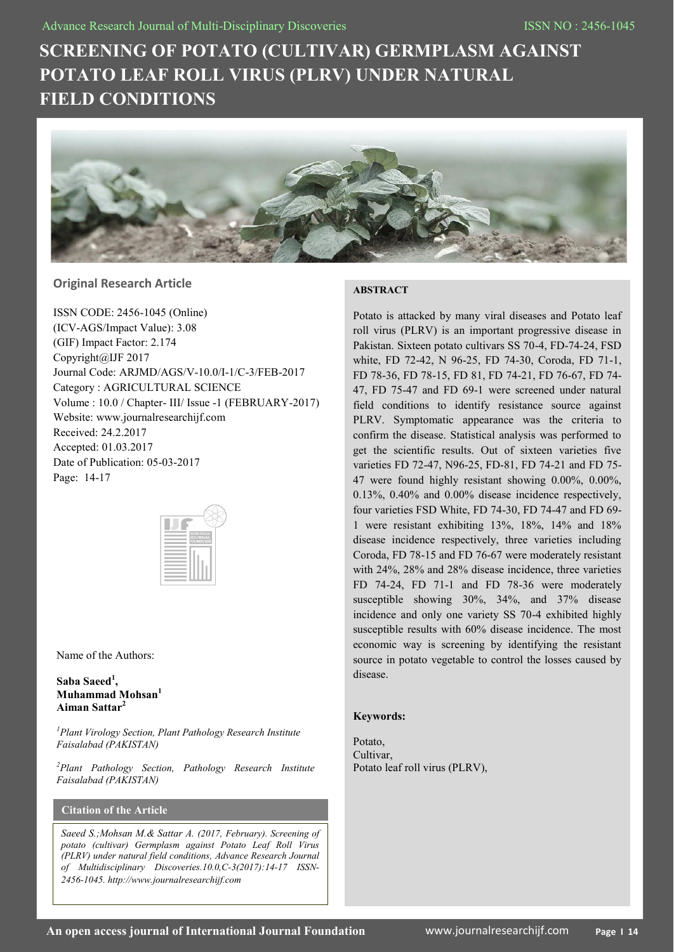# **SCREENING OF POTATO (CULTIVAR) GERMPLASM AGAINST POTATO LEAF ROLL VIRUS (PLRV) UNDER NATURAL FIELD CONDITIONS**



**Original Research Article**

ISSN CODE: 2456-1045 (Online) (ICV-AGS/Impact Value): 3.08 (GIF) Impact Factor: 2.174 Copyright@IJF 2017 Journal Code: ARJMD/AGS/V-10.0/I-1/C-3/FEB-2017 Category : AGRICULTURAL SCIENCE Volume : 10.0 / Chapter- III/ Issue -1 (FEBRUARY-2017) Website: www.journalresearchijf.com Received: 24.2.2017 Accepted: 01.03.2017 Date of Publication: 05-03-2017 Page: 14-17



Name of the Authors:

# **Saba Saeed<sup>1</sup> , Muhammad Mohsan<sup>1</sup> Aiman Sattar<sup>2</sup>**

*<sup>1</sup>Plant Virology Section, Plant Pathology Research Institute Faisalabad (PAKISTAN)*

*<sup>2</sup>Plant Pathology Section, Pathology Research Institute Faisalabad (PAKISTAN)*

# **Citation of the Article**

*Saeed S.;Mohsan M.& Sattar A. (2017, February). Screening of potato (cultivar) Germplasm against Potato Leaf Roll Virus (PLRV) under natural field conditions, Advance Research Journal of Multidisciplinary Discoveries.10.0,C-3(2017):14-17 ISSN-2456-1045. http://www.journalresearchijf.com***e;**

# **ABSTRACT**

Potato is attacked by many viral diseases and Potato leaf roll virus (PLRV) is an important progressive disease in Pakistan. Sixteen potato cultivars SS 70-4, FD-74-24, FSD white, FD 72-42, N 96-25, FD 74-30, Coroda, FD 71-1, FD 78-36, FD 78-15, FD 81, FD 74-21, FD 76-67, FD 74- 47, FD 75-47 and FD 69-1 were screened under natural field conditions to identify resistance source against PLRV. Symptomatic appearance was the criteria to confirm the disease. Statistical analysis was performed to get the scientific results. Out of sixteen varieties five varieties FD 72-47, N96-25, FD-81, FD 74-21 and FD 75- 47 were found highly resistant showing 0.00%, 0.00%, 0.13%, 0.40% and 0.00% disease incidence respectively, four varieties FSD White, FD 74-30, FD 74-47 and FD 69- 1 were resistant exhibiting 13%, 18%, 14% and 18% disease incidence respectively, three varieties including Coroda, FD 78-15 and FD 76-67 were moderately resistant with 24%, 28% and 28% disease incidence, three varieties FD 74-24, FD 71-1 and FD 78-36 were moderately susceptible showing 30%, 34%, and 37% disease incidence and only one variety SS 70-4 exhibited highly susceptible results with 60% disease incidence. The most economic way is screening by identifying the resistant source in potato vegetable to control the losses caused by disease.

# **Keywords:**

Potato, Cultivar, Potato leaf roll virus (PLRV),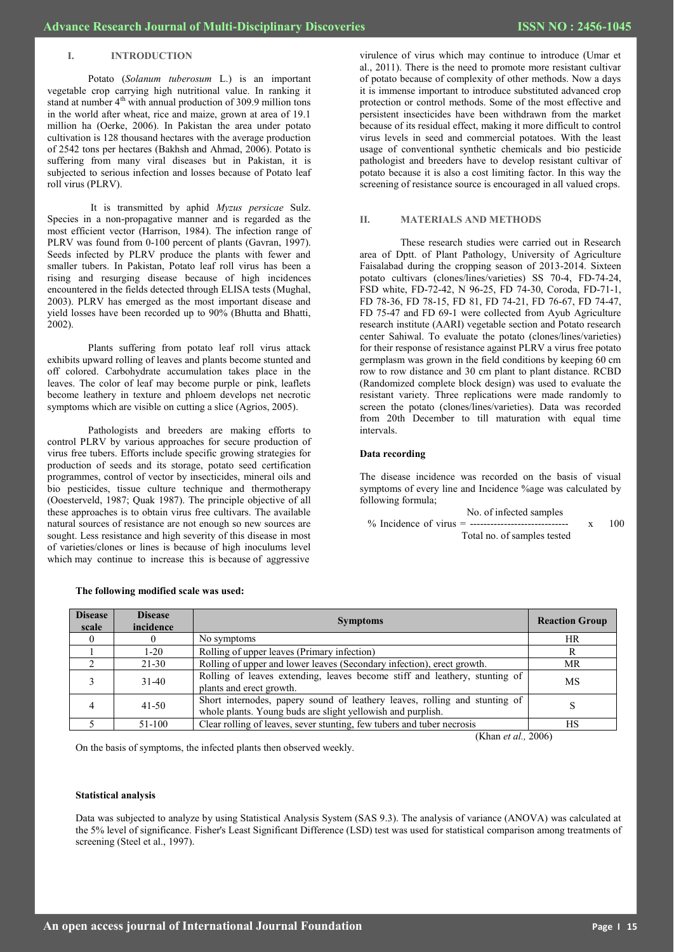## **I. INTRODUCTION**

Potato (*Solanum tuberosum* L.) is an important vegetable crop carrying high nutritional value. In ranking it stand at number 4<sup>th</sup> with annual production of 309.9 million tons in the world after wheat, rice and maize, grown at area of 19.1 million ha (Oerke, 2006). In Pakistan the area under potato cultivation is 128 thousand hectares with the average production of 2542 tons per hectares (Bakhsh and Ahmad, 2006). Potato is suffering from many viral diseases but in Pakistan, it is subjected to serious infection and losses because of Potato leaf roll virus (PLRV).

It is transmitted by aphid *Myzus persicae* Sulz. Species in a non-propagative manner and is regarded as the most efficient vector (Harrison, 1984). The infection range of PLRV was found from 0-100 percent of plants (Gavran, 1997). Seeds infected by PLRV produce the plants with fewer and smaller tubers. In Pakistan, Potato leaf roll virus has been a rising and resurging disease because of high incidences encountered in the fields detected through ELISA tests (Mughal, 2003). PLRV has emerged as the most important disease and yield losses have been recorded up to 90% (Bhutta and Bhatti, 2002).

Plants suffering from potato leaf roll virus attack exhibits upward rolling of leaves and plants become stunted and off colored. Carbohydrate accumulation takes place in the leaves. The color of leaf may become purple or pink, leaflets become leathery in texture and phloem develops net necrotic symptoms which are visible on cutting a slice (Agrios, 2005).

Pathologists and breeders are making efforts to control PLRV by various approaches for secure production of virus free tubers. Efforts include specific growing strategies for production of seeds and its storage, potato seed certification programmes, control of vector by insecticides, mineral oils and bio pesticides, tissue culture technique and thermotherapy (Ooesterveld, 1987; Quak 1987). The principle objective of all these approaches is to obtain virus free cultivars. The available natural sources of resistance are not enough so new sources are sought. Less resistance and high severity of this disease in most of varieties/clones or lines is because of high inoculums level which may continue to increase this is because of aggressive

virulence of virus which may continue to introduce (Umar et al., 2011). There is the need to promote more resistant cultivar of potato because of complexity of other methods. Now a days it is immense important to introduce substituted advanced crop protection or control methods. Some of the most effective and persistent insecticides have been withdrawn from the market because of its residual effect, making it more difficult to control virus levels in seed and commercial potatoes. With the least usage of conventional synthetic chemicals and bio pesticide pathologist and breeders have to develop resistant cultivar of potato because it is also a cost limiting factor. In this way the screening of resistance source is encouraged in all valued crops.

## **II. MATERIALS AND METHODS**

These research studies were carried out in Research area of Dptt. of Plant Pathology, University of Agriculture Faisalabad during the cropping season of 2013-2014. Sixteen potato cultivars (clones/lines/varieties) SS 70-4, FD-74-24, FSD white, FD-72-42, N 96-25, FD 74-30, Coroda, FD-71-1, FD 78-36, FD 78-15, FD 81, FD 74-21, FD 76-67, FD 74-47, FD 75-47 and FD 69-1 were collected from Ayub Agriculture research institute (AARI) vegetable section and Potato research center Sahiwal. To evaluate the potato (clones/lines/varieties) for their response of resistance against PLRV a virus free potato germplasm was grown in the field conditions by keeping 60 cm row to row distance and 30 cm plant to plant distance. RCBD (Randomized complete block design) was used to evaluate the resistant variety. Three replications were made randomly to screen the potato (clones/lines/varieties). Data was recorded from 20th December to till maturation with equal time intervals.

## **Data recording**

The disease incidence was recorded on the basis of visual symptoms of every line and Incidence %age was calculated by following formula;

 No. of infected samples % Incidence of virus = ---------------------------------  $x = 100$ Total no. of samples tested

| <b>Disease</b><br>scale | <b>Disease</b><br>incidence | <b>Symptoms</b>                                                                                                                           | <b>Reaction Group</b> |
|-------------------------|-----------------------------|-------------------------------------------------------------------------------------------------------------------------------------------|-----------------------|
|                         |                             | No symptoms                                                                                                                               | <b>HR</b>             |
|                         | $1-20$                      | Rolling of upper leaves (Primary infection)                                                                                               |                       |
|                         | $21-30$                     | Rolling of upper and lower leaves (Secondary infection), erect growth.                                                                    | MR                    |
|                         | $31-40$                     | Rolling of leaves extending, leaves become stiff and leathery, stunting of<br>plants and erect growth.                                    | MS                    |
|                         | $41 - 50$                   | Short internodes, papery sound of leathery leaves, rolling and stunting of<br>whole plants. Young buds are slight yellowish and purplish. |                       |
|                         | 51-100                      | Clear rolling of leaves, sever stunting, few tubers and tuber necrosis                                                                    | <b>HS</b>             |
|                         |                             | (Khan <i>et al.</i> , 2006)                                                                                                               |                       |

**The following modified scale was used:**

On the basis of symptoms, the infected plants then observed weekly.

#### **Statistical analysis**

Data was subjected to analyze by using Statistical Analysis System (SAS 9.3). The analysis of variance (ANOVA) was calculated at the 5% level of significance. Fisher's Least Significant Difference (LSD) test was used for statistical comparison among treatments of screening (Steel et al., 1997).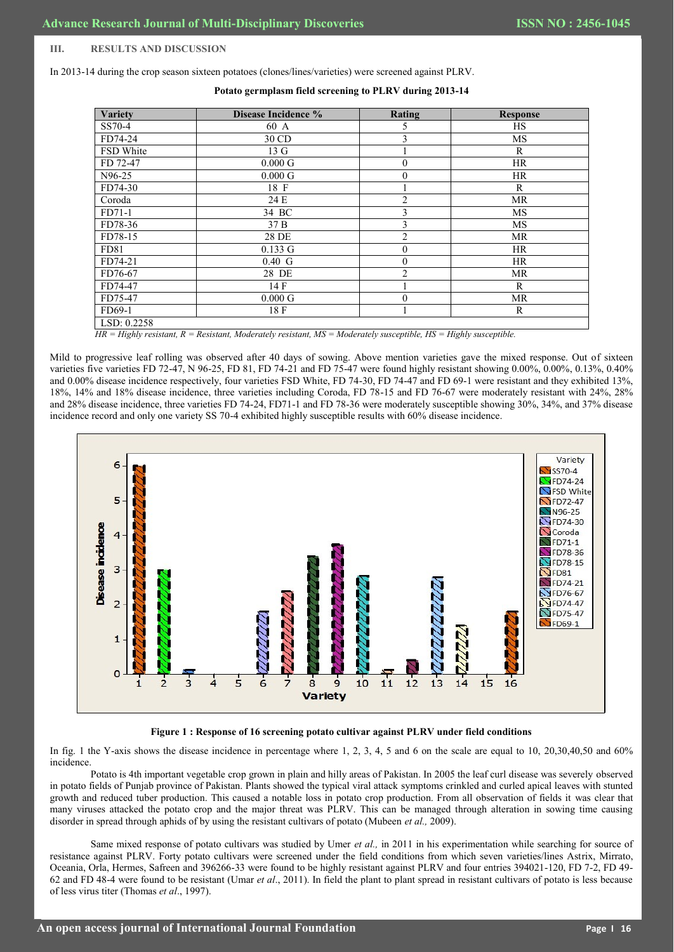## **III. RESULTS AND DISCUSSION**

|  | In 2013-14 during the crop season sixteen potatoes (clones/lines/varieties) were screened against PLRV. |
|--|---------------------------------------------------------------------------------------------------------|
|  |                                                                                                         |

| <b>Variety</b> | Disease Incidence %  | Rating         | <b>Response</b> |  |  |  |
|----------------|----------------------|----------------|-----------------|--|--|--|
| SS70-4         | 60 A                 | 5              | HS              |  |  |  |
| FD74-24        | 30 CD                | 3              | MS              |  |  |  |
| FSD White      | 13G                  |                | $\mathbb{R}$    |  |  |  |
| FD 72-47       | $0.000 \,\mathrm{G}$ | $\theta$       | <b>HR</b>       |  |  |  |
| N96-25         | $0.000 \text{ G}$    | $\theta$       | <b>HR</b>       |  |  |  |
| FD74-30        | 18 F                 |                | $\mathbb{R}$    |  |  |  |
| Coroda         | 24 E                 | $\overline{2}$ | <b>MR</b>       |  |  |  |
| FD71-1         | 34 BC                | 3              | MS              |  |  |  |
| FD78-36        | 37 B                 | 3              | MS              |  |  |  |
| FD78-15        | 28 DE                | $\overline{2}$ | MR              |  |  |  |
| <b>FD81</b>    | $0.133 \text{ G}$    | $\theta$       | <b>HR</b>       |  |  |  |
| FD74-21        | $0.40\ G$            | $\theta$       | <b>HR</b>       |  |  |  |
| FD76-67        | 28 DE                | $\mathfrak{D}$ | MR              |  |  |  |
| FD74-47        | 14 F                 |                | R               |  |  |  |
| FD75-47        | $0.000\,\mathrm{G}$  | $\theta$       | MR              |  |  |  |
| FD69-1         | 18 F                 |                | R               |  |  |  |
| LSD: 0.2258    |                      |                |                 |  |  |  |

**Potato germplasm field screening to PLRV during 2013-14**

*HR = Highly resistant, R = Resistant, Moderately resistant, MS = Moderately susceptible, HS = Highly susceptible.*

Mild to progressive leaf rolling was observed after 40 days of sowing. Above mention varieties gave the mixed response. Out of sixteen varieties five varieties FD 72-47, N 96-25, FD 81, FD 74-21 and FD 75-47 were found highly resistant showing 0.00%, 0.00%, 0.13%, 0.40% and 0.00% disease incidence respectively, four varieties FSD White, FD 74-30, FD 74-47 and FD 69-1 were resistant and they exhibited 13%, 18%, 14% and 18% disease incidence, three varieties including Coroda, FD 78-15 and FD 76-67 were moderately resistant with 24%, 28% and 28% disease incidence, three varieties FD 74-24, FD71-1 and FD 78-36 were moderately susceptible showing 30%, 34%, and 37% disease incidence record and only one variety SS 70-4 exhibited highly susceptible results with 60% disease incidence.



**Figure 1 : Response of 16 screening potato cultivar against PLRV under field conditions**

In fig. 1 the Y-axis shows the disease incidence in percentage where 1, 2, 3, 4, 5 and 6 on the scale are equal to 10, 20,30,40,50 and 60% incidence

Potato is 4th important vegetable crop grown in plain and hilly areas of Pakistan. In 2005 the leaf curl disease was severely observed in potato fields of Punjab province of Pakistan. Plants showed the typical viral attack symptoms crinkled and curled apical leaves with stunted growth and reduced tuber production. This caused a notable loss in potato crop production. From all observation of fields it was clear that many viruses attacked the potato crop and the major threat was PLRV. This can be managed through alteration in sowing time causing disorder in spread through aphids of by using the resistant cultivars of potato (Mubeen *et al.,* 2009).

Same mixed response of potato cultivars was studied by Umer *et al.*, in 2011 in his experimentation while searching for source of resistance against PLRV. Forty potato cultivars were screened under the field conditions from which seven varieties/lines Astrix, Mirrato, Oceania, Orla, Hermes, Safreen and 396266-33 were found to be highly resistant against PLRV and four entries 394021-120, FD 7-2, FD 49- 62 and FD 48-4 were found to be resistant (Umar *et al*., 2011). In field the plant to plant spread in resistant cultivars of potato is less because of less virus titer (Thomas *et al*., 1997).